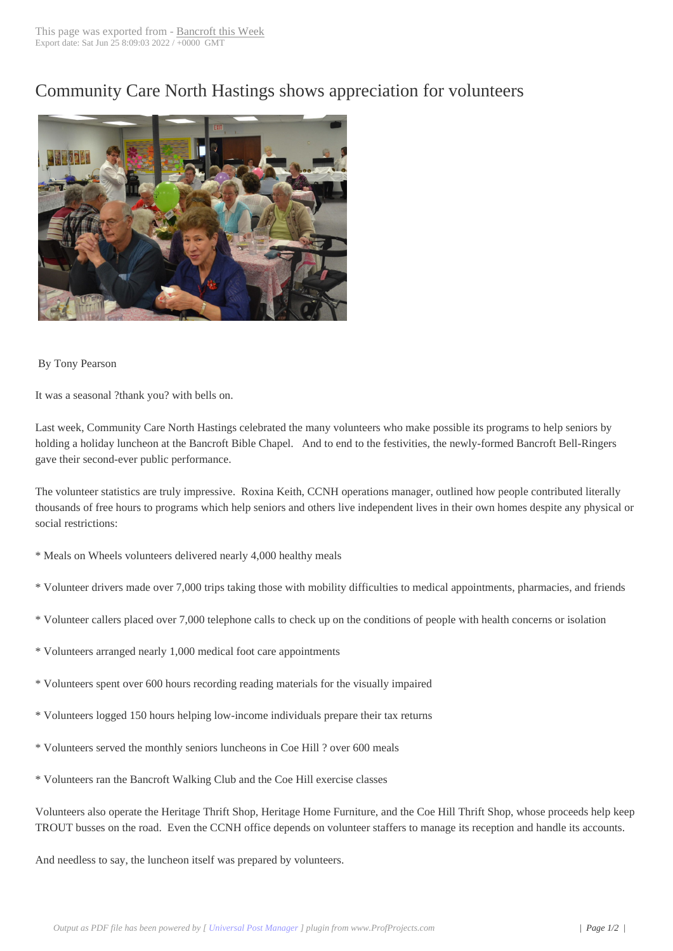## Community Care [North Hasting](http://www.bancroftthisweek.com/?p=4119)s shows appreciation for volunteers



## By Tony Pearson

It was a seasonal ?thank you? with bells on.

Last week, Community Care North Hastings celebrated the many volunteers who make possible its programs to help seniors by holding a holiday luncheon at the Bancroft Bible Chapel. And to end to the festivities, the newly-formed Bancroft Bell-Ringers gave their second-ever public performance.

The volunteer statistics are truly impressive. Roxina Keith, CCNH operations manager, outlined how people contributed literally thousands of free hours to programs which help seniors and others live independent lives in their own homes despite any physical or social restrictions:

\* Meals on Wheels volunteers delivered nearly 4,000 healthy meals

- \* Volunteer drivers made over 7,000 trips taking those with mobility difficulties to medical appointments, pharmacies, and friends
- \* Volunteer callers placed over 7,000 telephone calls to check up on the conditions of people with health concerns or isolation
- \* Volunteers arranged nearly 1,000 medical foot care appointments
- \* Volunteers spent over 600 hours recording reading materials for the visually impaired
- \* Volunteers logged 150 hours helping low-income individuals prepare their tax returns
- \* Volunteers served the monthly seniors luncheons in Coe Hill ? over 600 meals
- \* Volunteers ran the Bancroft Walking Club and the Coe Hill exercise classes

Volunteers also operate the Heritage Thrift Shop, Heritage Home Furniture, and the Coe Hill Thrift Shop, whose proceeds help keep TROUT busses on the road. Even the CCNH office depends on volunteer staffers to manage its reception and handle its accounts.

And needless to say, the luncheon itself was prepared by volunteers.